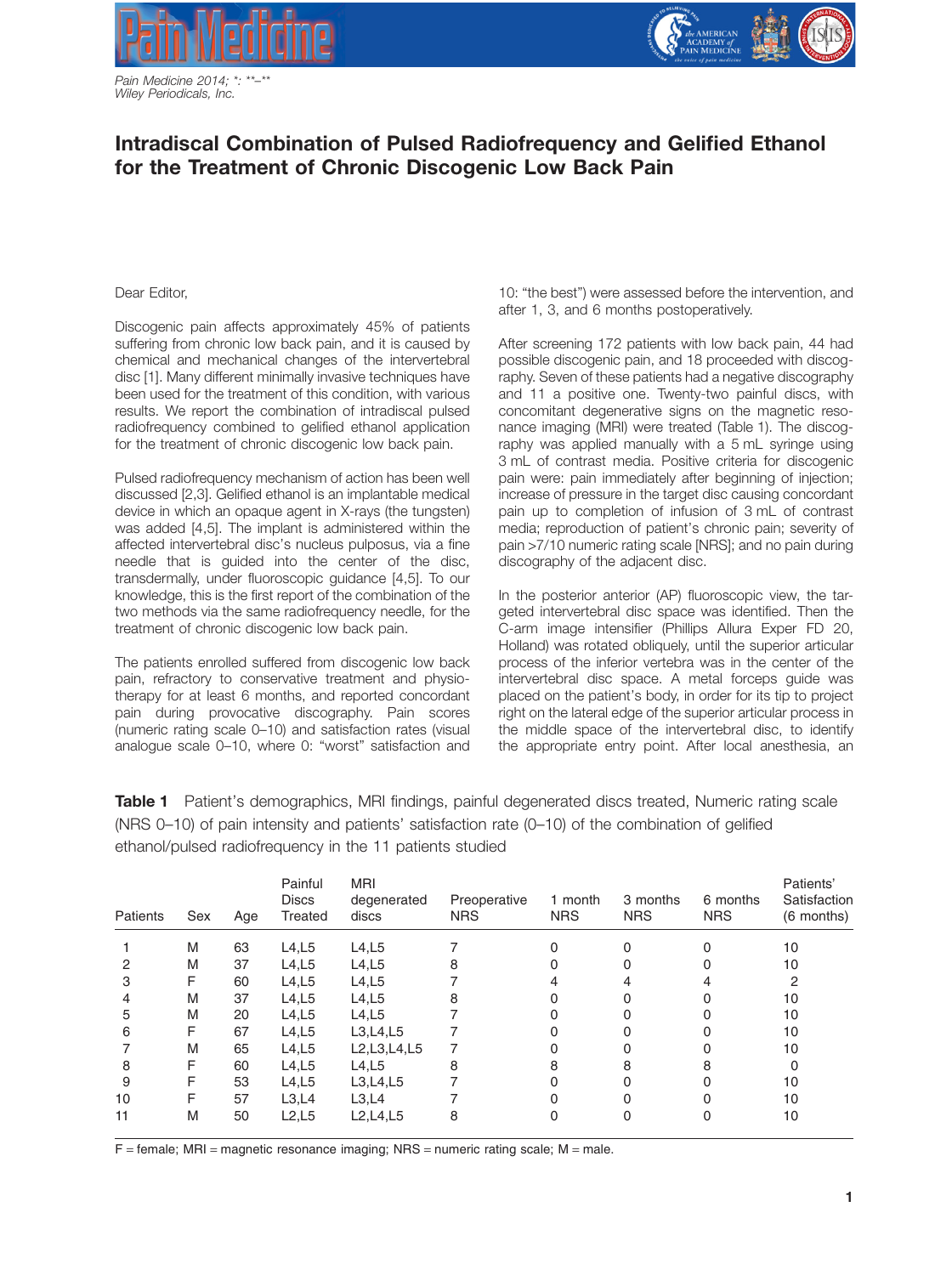

*Pain Medicine 2014; \*: \*\*–\*\* Wiley Periodicals, Inc.*



## **Intradiscal Combination of Pulsed Radiofrequency and Gelified Ethanol for the Treatment of Chronic Discogenic Low Back Pain**

Dear Editor,

Discogenic pain affects approximately 45% of patients suffering from chronic low back pain, and it is caused by chemical and mechanical changes of the intervertebral disc [1]. Many different minimally invasive techniques have been used for the treatment of this condition, with various results. We report the combination of intradiscal pulsed radiofrequency combined to gelified ethanol application for the treatment of chronic discogenic low back pain.

Pulsed radiofrequency mechanism of action has been well discussed [2,3]. Gelified ethanol is an implantable medical device in which an opaque agent in X-rays (the tungsten) was added [4,5]. The implant is administered within the affected intervertebral disc's nucleus pulposus, via a fine needle that is guided into the center of the disc, transdermally, under fluoroscopic guidance [4,5]. To our knowledge, this is the first report of the combination of the two methods via the same radiofrequency needle, for the treatment of chronic discogenic low back pain.

The patients enrolled suffered from discogenic low back pain, refractory to conservative treatment and physiotherapy for at least 6 months, and reported concordant pain during provocative discography. Pain scores (numeric rating scale 0–10) and satisfaction rates (visual analogue scale 0–10, where 0: "worst" satisfaction and 10: "the best") were assessed before the intervention, and after 1, 3, and 6 months postoperatively.

After screening 172 patients with low back pain, 44 had possible discogenic pain, and 18 proceeded with discography. Seven of these patients had a negative discography and 11 a positive one. Twenty-two painful discs, with concomitant degenerative signs on the magnetic resonance imaging (MRI) were treated (Table 1). The discography was applied manually with a 5 mL syringe using 3 mL of contrast media. Positive criteria for discogenic pain were: pain immediately after beginning of injection; increase of pressure in the target disc causing concordant pain up to completion of infusion of 3 mL of contrast media; reproduction of patient's chronic pain; severity of pain >7/10 numeric rating scale [NRS]; and no pain during discography of the adjacent disc.

In the posterior anterior (AP) fluoroscopic view, the targeted intervertebral disc space was identified. Then the C-arm image intensifier (Phillips Allura Exper FD 20, Holland) was rotated obliquely, until the superior articular process of the inferior vertebra was in the center of the intervertebral disc space. A metal forceps guide was placed on the patient's body, in order for its tip to project right on the lateral edge of the superior articular process in the middle space of the intervertebral disc, to identify the appropriate entry point. After local anesthesia, an

**Table 1** Patient's demographics, MRI findings, painful degenerated discs treated, Numeric rating scale (NRS 0–10) of pain intensity and patients' satisfaction rate (0–10) of the combination of gelified ethanol/pulsed radiofrequency in the 11 patients studied

| Patients | Sex | Age | Painful<br><b>Discs</b><br>Treated | <b>MRI</b><br>degenerated<br>discs | Preoperative<br><b>NRS</b> | 1 month<br><b>NRS</b> | 3 months<br><b>NRS</b> | 6 months<br><b>NRS</b> | Patients'<br>Satisfaction<br>(6 months) |
|----------|-----|-----|------------------------------------|------------------------------------|----------------------------|-----------------------|------------------------|------------------------|-----------------------------------------|
|          | M   | 63  | L4,L5                              | L4,L5                              |                            |                       |                        |                        | 10                                      |
| 2        | M   | 37  | L4,L5                              | L4,L5                              | 8                          |                       |                        |                        | 10                                      |
| 3        | F   | 60  | L4,L5                              | L4,L5                              |                            |                       |                        |                        | 2                                       |
|          | M   | 37  | L4, L5                             | L4,L5                              | 8                          |                       |                        |                        | 10                                      |
| 5        | M   | 20  | L4,L5                              | L4,L5                              |                            |                       |                        |                        | 10                                      |
| 6        | F   | 67  | L4, L5                             | L3,L4,L5                           |                            |                       |                        |                        | 10                                      |
|          | M   | 65  | L4,L5                              | L2,L3,L4,L5                        |                            |                       |                        |                        | 10                                      |
| 8        | F   | 60  | L4, L5                             | L4,L5                              | 8                          |                       |                        |                        |                                         |
| 9        | F   | 53  | L4,L5                              | L3,L4,L5                           |                            |                       |                        |                        | 10                                      |
| 10       |     | 57  | L3,L4                              | L3,L4                              |                            |                       |                        |                        | 10                                      |
| 11       | M   | 50  | L2,L5                              | L2, L4, L5                         | 8                          |                       |                        |                        | 10                                      |

 $F =$  female; MRI = magnetic resonance imaging; NRS = numeric rating scale; M = male.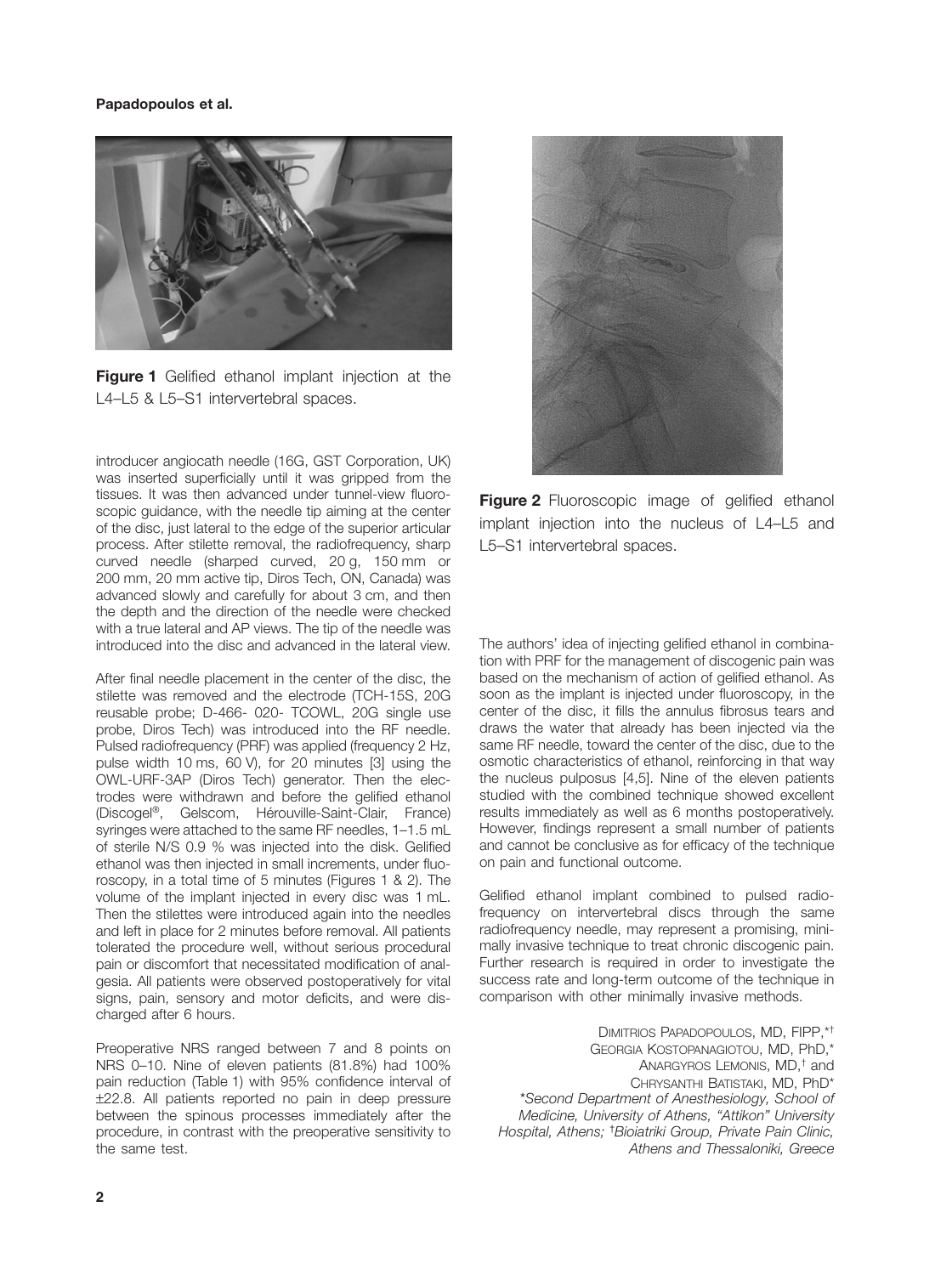## **Papadopoulos et al.**



**Figure 1** Gelified ethanol implant injection at the L4–L5 & L5–S1 intervertebral spaces.

introducer angiocath needle (16G, GST Corporation, UK) was inserted superficially until it was gripped from the tissues. It was then advanced under tunnel-view fluoroscopic guidance, with the needle tip aiming at the center of the disc, just lateral to the edge of the superior articular process. After stilette removal, the radiofrequency, sharp curved needle (sharped curved, 20 g, 150 mm or 200 mm, 20 mm active tip, Diros Tech, ON, Canada) was advanced slowly and carefully for about 3 cm, and then the depth and the direction of the needle were checked with a true lateral and AP views. The tip of the needle was introduced into the disc and advanced in the lateral view.

After final needle placement in the center of the disc, the stilette was removed and the electrode (TCH-15S, 20G reusable probe; D-466- 020- TCOWL, 20G single use probe, Diros Tech) was introduced into the RF needle. Pulsed radiofrequency (PRF) was applied (frequency 2 Hz, pulse width 10 ms, 60 V), for 20 minutes [3] using the OWL-URF-3AP (Diros Tech) generator. Then the electrodes were withdrawn and before the gelified ethanol (Discogel®, Gelscom, Hérouville-Saint-Clair, France) syringes were attached to the same RF needles, 1–1.5 mL of sterile N/S 0.9 % was injected into the disk. Gelified ethanol was then injected in small increments, under fluoroscopy, in a total time of 5 minutes (Figures 1 & 2). The volume of the implant injected in every disc was 1 mL. Then the stilettes were introduced again into the needles and left in place for 2 minutes before removal. All patients tolerated the procedure well, without serious procedural pain or discomfort that necessitated modification of analgesia. All patients were observed postoperatively for vital signs, pain, sensory and motor deficits, and were discharged after 6 hours.

Preoperative NRS ranged between 7 and 8 points on NRS 0–10. Nine of eleven patients (81.8%) had 100% pain reduction (Table 1) with 95% confidence interval of ±22.8. All patients reported no pain in deep pressure between the spinous processes immediately after the procedure, in contrast with the preoperative sensitivity to the same test.



**Figure 2** Fluoroscopic image of gelified ethanol implant injection into the nucleus of L4–L5 and L5–S1 intervertebral spaces.

The authors' idea of injecting gelified ethanol in combination with PRF for the management of discogenic pain was based on the mechanism of action of gelified ethanol. As soon as the implant is injected under fluoroscopy, in the center of the disc, it fills the annulus fibrosus tears and draws the water that already has been injected via the same RF needle, toward the center of the disc, due to the osmotic characteristics of ethanol, reinforcing in that way the nucleus pulposus [4,5]. Nine of the eleven patients studied with the combined technique showed excellent results immediately as well as 6 months postoperatively. However, findings represent a small number of patients and cannot be conclusive as for efficacy of the technique on pain and functional outcome.

Gelified ethanol implant combined to pulsed radiofrequency on intervertebral discs through the same radiofrequency needle, may represent a promising, minimally invasive technique to treat chronic discogenic pain. Further research is required in order to investigate the success rate and long-term outcome of the technique in comparison with other minimally invasive methods.

DIMITRIOS PAPADOPOULOS, MD, FIPP,\*† GEORGIA KOSTOPANAGIOTOU, MD, PhD,\* ANARGYROS LEMONIS, MD,† and CHRYSANTHI BATISTAKI, MD, PhD\* \**Second Department of Anesthesiology, School of Medicine, University of Athens, "Attikon" University Hospital, Athens;* † *Bioiatriki Group, Private Pain Clinic, Athens and Thessaloniki, Greece*